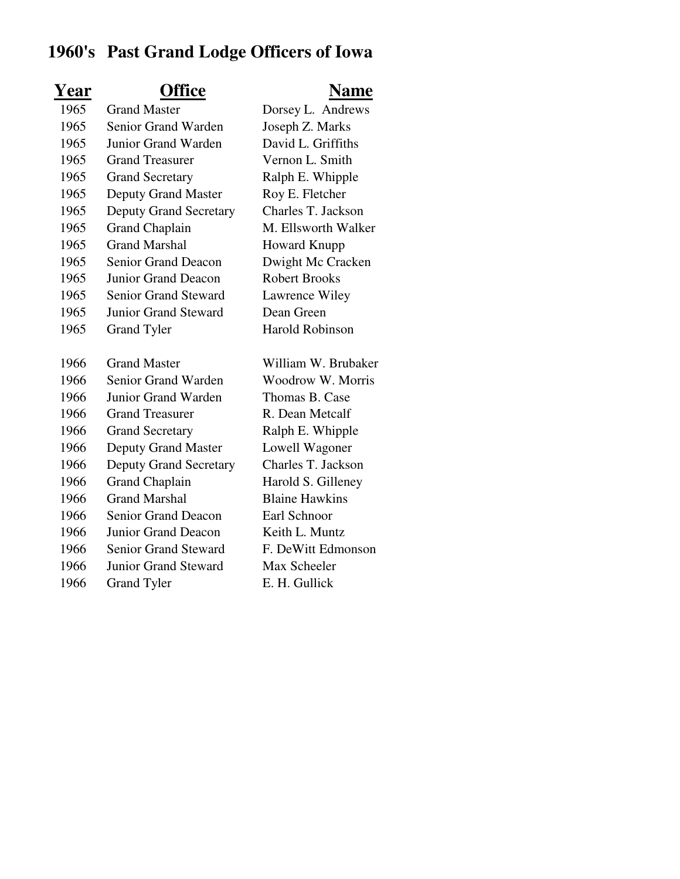## **1960's Past Grand Lodge Officers of Iowa**

| Year | <b>Office</b>                 | <u>Name</u>            |
|------|-------------------------------|------------------------|
| 1965 | <b>Grand Master</b>           | Dorsey L. Andrews      |
| 1965 | <b>Senior Grand Warden</b>    | Joseph Z. Marks        |
| 1965 | Junior Grand Warden           | David L. Griffiths     |
| 1965 | <b>Grand Treasurer</b>        | Vernon L. Smith        |
| 1965 | <b>Grand Secretary</b>        | Ralph E. Whipple       |
| 1965 | <b>Deputy Grand Master</b>    | Roy E. Fletcher        |
| 1965 | <b>Deputy Grand Secretary</b> | Charles T. Jackson     |
| 1965 | <b>Grand Chaplain</b>         | M. Ellsworth Walker    |
| 1965 | <b>Grand Marshal</b>          | <b>Howard Knupp</b>    |
| 1965 | <b>Senior Grand Deacon</b>    | Dwight Mc Cracken      |
| 1965 | <b>Junior Grand Deacon</b>    | <b>Robert Brooks</b>   |
| 1965 | <b>Senior Grand Steward</b>   | Lawrence Wiley         |
| 1965 | <b>Junior Grand Steward</b>   | Dean Green             |
| 1965 | <b>Grand Tyler</b>            | <b>Harold Robinson</b> |
|      |                               |                        |
| 1966 | <b>Grand Master</b>           | William W. Brubaker    |
| 1966 | Senior Grand Warden           | Woodrow W. Morris      |
| 1966 | <b>Junior Grand Warden</b>    | Thomas B. Case         |
| 1966 | <b>Grand Treasurer</b>        | R. Dean Metcalf        |
| 1966 | <b>Grand Secretary</b>        | Ralph E. Whipple       |
| 1966 | <b>Deputy Grand Master</b>    | Lowell Wagoner         |
| 1966 | <b>Deputy Grand Secretary</b> | Charles T. Jackson     |
| 1966 | <b>Grand Chaplain</b>         | Harold S. Gilleney     |
| 1966 | <b>Grand Marshal</b>          | <b>Blaine Hawkins</b>  |
| 1966 | <b>Senior Grand Deacon</b>    | Earl Schnoor           |
| 1966 | Junior Grand Deacon           | Keith L. Muntz         |
| 1966 | <b>Senior Grand Steward</b>   | F. DeWitt Edmonson     |
| 1966 | <b>Junior Grand Steward</b>   | Max Scheeler           |
| 1966 | <b>Grand Tyler</b>            | E. H. Gullick          |
|      |                               |                        |